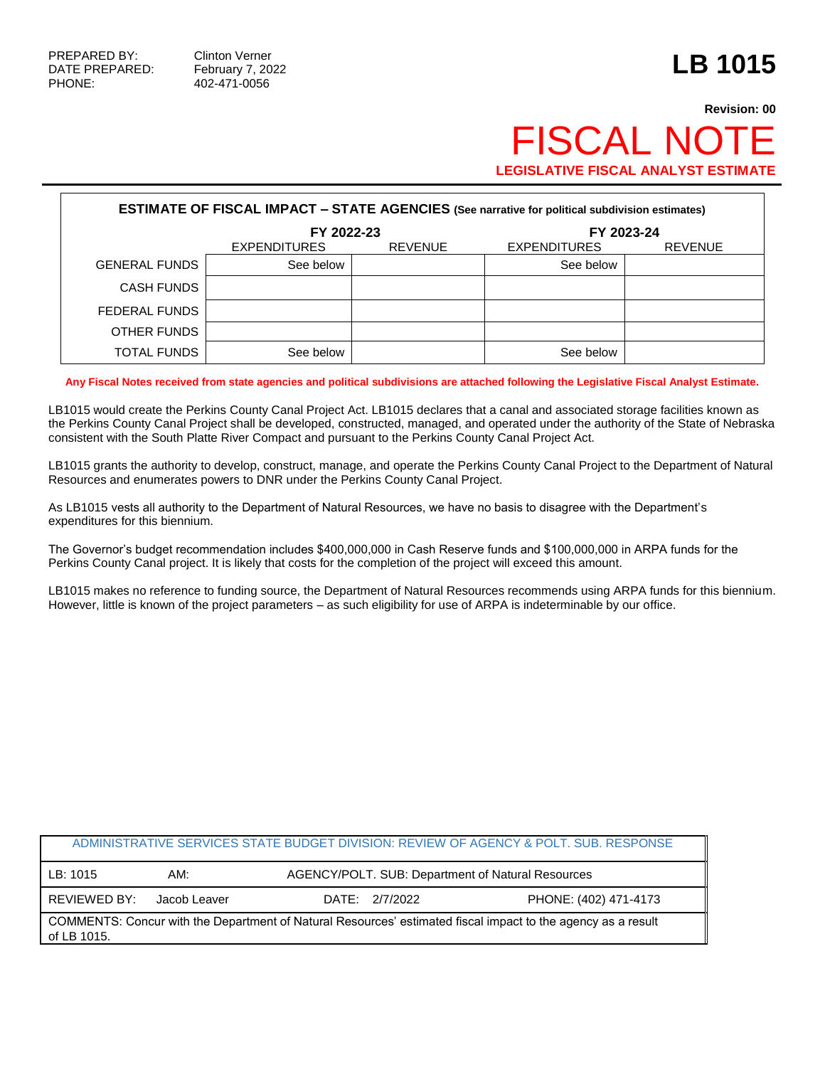PHONE: 402-471-0056

## **Revision: 00 FISCAL NOT LEGISLATIVE FISCAL ANALYST ESTIMATE**

| <b>ESTIMATE OF FISCAL IMPACT - STATE AGENCIES (See narrative for political subdivision estimates)</b> |                     |                |                     |                |  |  |
|-------------------------------------------------------------------------------------------------------|---------------------|----------------|---------------------|----------------|--|--|
|                                                                                                       | FY 2022-23          |                | FY 2023-24          |                |  |  |
|                                                                                                       | <b>EXPENDITURES</b> | <b>REVENUE</b> | <b>EXPENDITURES</b> | <b>REVENUE</b> |  |  |
| <b>GENERAL FUNDS</b>                                                                                  | See below           |                | See below           |                |  |  |
| <b>CASH FUNDS</b>                                                                                     |                     |                |                     |                |  |  |
| FEDERAL FUNDS                                                                                         |                     |                |                     |                |  |  |
| OTHER FUNDS                                                                                           |                     |                |                     |                |  |  |
| TOTAL FUNDS                                                                                           | See below           |                | See below           |                |  |  |

**Any Fiscal Notes received from state agencies and political subdivisions are attached following the Legislative Fiscal Analyst Estimate.**

LB1015 would create the Perkins County Canal Project Act. LB1015 declares that a canal and associated storage facilities known as the Perkins County Canal Project shall be developed, constructed, managed, and operated under the authority of the State of Nebraska consistent with the South Platte River Compact and pursuant to the Perkins County Canal Project Act.

LB1015 grants the authority to develop, construct, manage, and operate the Perkins County Canal Project to the Department of Natural Resources and enumerates powers to DNR under the Perkins County Canal Project.

As LB1015 vests all authority to the Department of Natural Resources, we have no basis to disagree with the Department's expenditures for this biennium.

The Governor's budget recommendation includes \$400,000,000 in Cash Reserve funds and \$100,000,000 in ARPA funds for the Perkins County Canal project. It is likely that costs for the completion of the project will exceed this amount.

LB1015 makes no reference to funding source, the Department of Natural Resources recommends using ARPA funds for this biennium. However, little is known of the project parameters – as such eligibility for use of ARPA is indeterminable by our office.

| ADMINISTRATIVE SERVICES STATE BUDGET DIVISION: REVIEW OF AGENCY & POLT, SUB, RESPONSE                                       |              |                                                   |                       |  |  |
|-----------------------------------------------------------------------------------------------------------------------------|--------------|---------------------------------------------------|-----------------------|--|--|
| LB: 1015                                                                                                                    | AM:          | AGENCY/POLT. SUB: Department of Natural Resources |                       |  |  |
| REVIEWED BY:                                                                                                                | Jacob Leaver | DATE: 2/7/2022                                    | PHONE: (402) 471-4173 |  |  |
| COMMENTS: Concur with the Department of Natural Resources' estimated fiscal impact to the agency as a result<br>of LB 1015. |              |                                                   |                       |  |  |